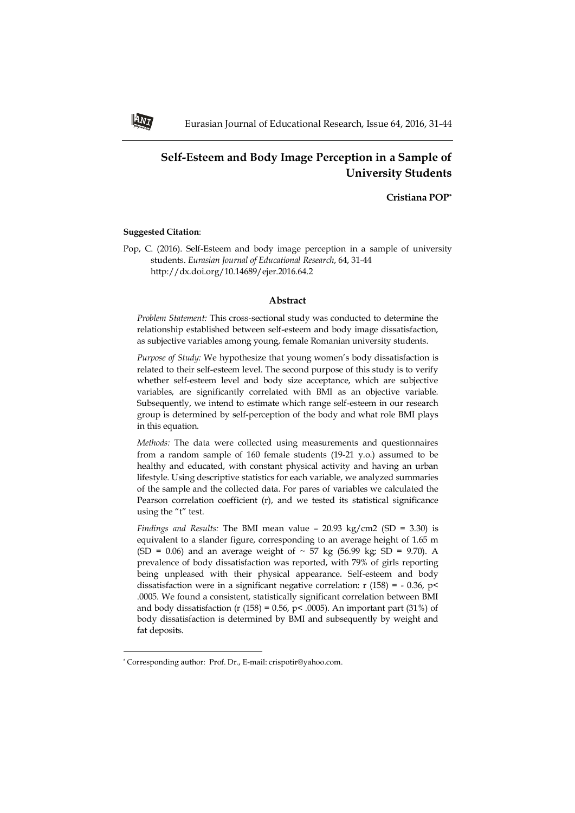# **Self-Esteem and Body Image Perception in a Sample of University Students**

**Cristiana POP\***

# **Suggested Citation**:

Pop, C. (2016). Self-Esteem and body image perception in a sample of university students. *Eurasian Journal of Educational Research*, 64, 31-44 http://dx.doi.org/10.14689/ejer.2016.64.2

### **Abstract**

*Problem Statement:* This cross-sectional study was conducted to determine the relationship established between self-esteem and body image dissatisfaction, as subjective variables among young, female Romanian university students.

*Purpose of Study:* We hypothesize that young women's body dissatisfaction is related to their self-esteem level. The second purpose of this study is to verify whether self-esteem level and body size acceptance, which are subjective variables, are significantly correlated with BMI as an objective variable. Subsequently, we intend to estimate which range self-esteem in our research group is determined by self-perception of the body and what role BMI plays in this equation.

*Methods:* The data were collected using measurements and questionnaires from a random sample of 160 female students (19-21 y.o.) assumed to be healthy and educated, with constant physical activity and having an urban lifestyle. Using descriptive statistics for each variable, we analyzed summaries of the sample and the collected data. For pares of variables we calculated the Pearson correlation coefficient (r), and we tested its statistical significance using the "t" test.

*Findings and Results:* The BMI mean value – 20.93 kg/cm2 (SD = 3.30) is equivalent to a slander figure, corresponding to an average height of 1.65 m (SD = 0.06) and an average weight of  $\sim$  57 kg (56.99 kg; SD = 9.70). A prevalence of body dissatisfaction was reported, with 79% of girls reporting being unpleased with their physical appearance. Self-esteem and body dissatisfaction were in a significant negative correlation:  $r(158) = -0.36$ ,  $p<$ .0005. We found a consistent, statistically significant correlation between BMI and body dissatisfaction (r (158) = 0.56, p < .0005). An important part (31%) of body dissatisfaction is determined by BMI and subsequently by weight and fat deposits.

 $\overline{\phantom{a}}$ 



<sup>\*</sup> Corresponding author: Prof. Dr., E-mail: crispotir@yahoo.com.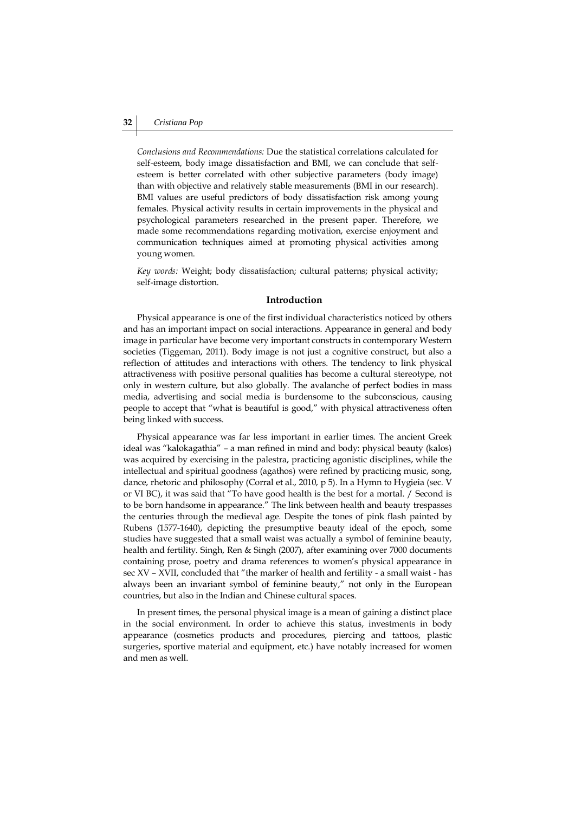*Conclusions and Recommendations:* Due the statistical correlations calculated for self-esteem, body image dissatisfaction and BMI, we can conclude that selfesteem is better correlated with other subjective parameters (body image) than with objective and relatively stable measurements (BMI in our research). BMI values are useful predictors of body dissatisfaction risk among young females. Physical activity results in certain improvements in the physical and psychological parameters researched in the present paper. Therefore, we made some recommendations regarding motivation, exercise enjoyment and communication techniques aimed at promoting physical activities among young women.

*Key words:* Weight; body dissatisfaction; cultural patterns; physical activity; self-image distortion.

### **Introduction**

Physical appearance is one of the first individual characteristics noticed by others and has an important impact on social interactions. Appearance in general and body image in particular have become very important constructs in contemporary Western societies (Tiggeman, 2011). Body image is not just a cognitive construct, but also a reflection of attitudes and interactions with others. The tendency to link physical attractiveness with positive personal qualities has become a cultural stereotype, not only in western culture, but also globally. The avalanche of perfect bodies in mass media, advertising and social media is burdensome to the subconscious, causing people to accept that "what is beautiful is good," with physical attractiveness often being linked with success.

Physical appearance was far less important in earlier times. The ancient Greek ideal was "kalokagathia" – a man refined in mind and body: physical beauty (kalos) was acquired by exercising in the palestra, practicing agonistic disciplines, while the intellectual and spiritual goodness (agathos) were refined by practicing music, song, dance, rhetoric and philosophy (Corral et al., 2010, p 5). In a Hymn to Hygieia (sec. V or VI BC), it was said that "To have good health is the best for a mortal. / Second is to be born handsome in appearance." The link between health and beauty trespasses the centuries through the medieval age. Despite the tones of pink flash painted by Rubens (1577-1640), depicting the presumptive beauty ideal of the epoch, some studies have suggested that a small waist was actually a symbol of feminine beauty, health and fertility. Singh, Ren & Singh (2007), after examining over 7000 documents containing prose, poetry and drama references to women's physical appearance in sec XV – XVII, concluded that "the marker of health and fertility - a small waist - has always been an invariant symbol of feminine beauty," not only in the European countries, but also in the Indian and Chinese cultural spaces.

In present times, the personal physical image is a mean of gaining a distinct place in the social environment. In order to achieve this status, investments in body appearance (cosmetics products and procedures, piercing and tattoos, plastic surgeries, sportive material and equipment, etc.) have notably increased for women and men as well.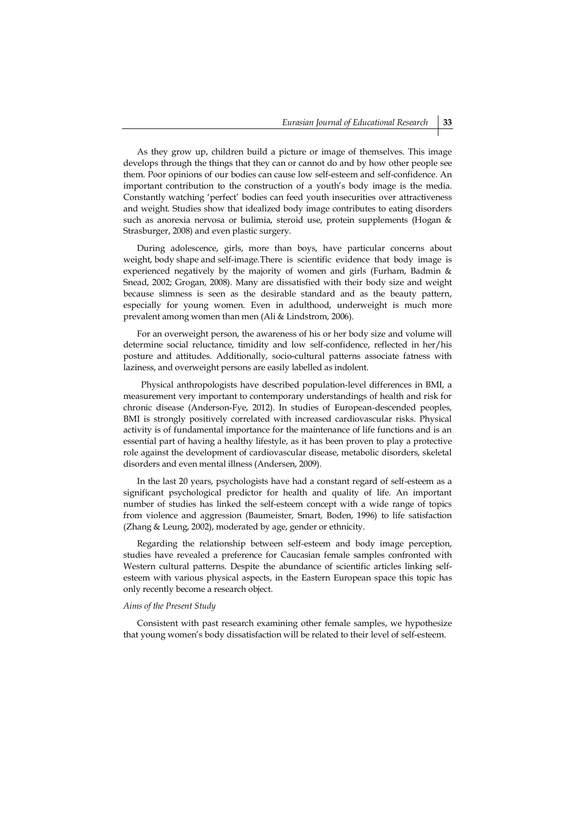As they grow up, children build a picture or image of themselves. This image develops through the things that they can or cannot do and by how other people see them. Poor opinions of our bodies can cause low self-esteem and self-confidence. An important contribution to the construction of a youth's body image is the media. Constantly watching 'perfect' bodies can feed youth insecurities over attractiveness and weight. Studies show that idealized body image contributes to eating disorders such as anorexia nervosa or bulimia, steroid use, protein supplements (Hogan & Strasburger, 2008) and even plastic surgery.

During adolescence, girls, more than boys, have particular concerns about weight, body shape and self-image.There is scientific evidence that body image is experienced negatively by the majority of women and girls (Furham, Badmin & Snead, 2002; Grogan, 2008). Many are dissatisfied with their body size and weight because slimness is seen as the desirable standard and as the beauty pattern, especially for young women. Even in adulthood, underweight is much more prevalent among women than men (Ali & Lindstrom, 2006).

For an overweight person, the awareness of his or her body size and volume will determine social reluctance, timidity and low self-confidence, reflected in her/his posture and attitudes. Additionally, socio-cultural patterns associate fatness with laziness, and overweight persons are easily labelled as indolent.

 Physical anthropologists have described population-level differences in BMI, a measurement very important to contemporary understandings of health and risk for chronic disease (Anderson-Fye, 2012). In studies of European-descended peoples, BMI is strongly positively correlated with increased cardiovascular risks. Physical activity is of fundamental importance for the maintenance of life functions and is an essential part of having a healthy lifestyle, as it has been proven to play a protective role against the development of cardiovascular disease, metabolic disorders, skeletal disorders and even mental illness (Andersen, 2009).

In the last 20 years, psychologists have had a constant regard of self-esteem as a significant psychological predictor for health and quality of life. An important number of studies has linked the self-esteem concept with a wide range of topics from violence and aggression (Baumeister, Smart, Boden, 1996) to life satisfaction (Zhang & Leung, 2002), moderated by age, gender or ethnicity.

Regarding the relationship between self-esteem and body image perception, studies have revealed a preference for Caucasian female samples confronted with Western cultural patterns. Despite the abundance of scientific articles linking selfesteem with various physical aspects, in the Eastern European space this topic has only recently become a research object.

### *Aims of the Present Study*

Consistent with past research examining other female samples, we hypothesize that young women's body dissatisfaction will be related to their level of self-esteem.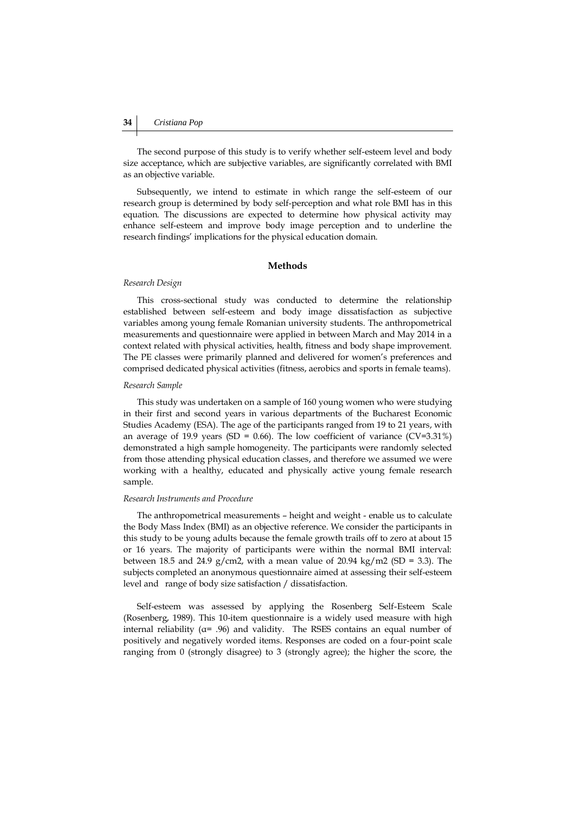The second purpose of this study is to verify whether self-esteem level and body size acceptance, which are subjective variables, are significantly correlated with BMI as an objective variable.

Subsequently, we intend to estimate in which range the self-esteem of our research group is determined by body self-perception and what role BMI has in this equation. The discussions are expected to determine how physical activity may enhance self-esteem and improve body image perception and to underline the research findings' implications for the physical education domain.

### **Methods**

#### *Research Design*

This cross-sectional study was conducted to determine the relationship established between self-esteem and body image dissatisfaction as subjective variables among young female Romanian university students. The anthropometrical measurements and questionnaire were applied in between March and May 2014 in a context related with physical activities, health, fitness and body shape improvement. The PE classes were primarily planned and delivered for women's preferences and comprised dedicated physical activities (fitness, aerobics and sports in female teams).

# *Research Sample*

This study was undertaken on a sample of 160 young women who were studying in their first and second years in various departments of the Bucharest Economic Studies Academy (ESA). The age of the participants ranged from 19 to 21 years, with an average of 19.9 years (SD = 0.66). The low coefficient of variance (CV=3.31%) demonstrated a high sample homogeneity. The participants were randomly selected from those attending physical education classes, and therefore we assumed we were working with a healthy, educated and physically active young female research sample.

### *Research Instruments and Procedure*

The anthropometrical measurements – height and weight - enable us to calculate the Body Mass Index (BMI) as an objective reference. We consider the participants in this study to be young adults because the female growth trails off to zero at about 15 or 16 years. The majority of participants were within the normal BMI interval: between 18.5 and 24.9 g/cm2, with a mean value of 20.94 kg/m2 (SD = 3.3). The subjects completed an anonymous questionnaire aimed at assessing their self-esteem level and range of body size satisfaction / dissatisfaction.

Self-esteem was assessed by applying the Rosenberg Self-Esteem Scale (Rosenberg, 1989). This 10-item questionnaire is a widely used measure with high internal reliability (α= .96) and validity. The RSES contains an equal number of positively and negatively worded items. Responses are coded on a four-point scale ranging from 0 (strongly disagree) to 3 (strongly agree); the higher the score, the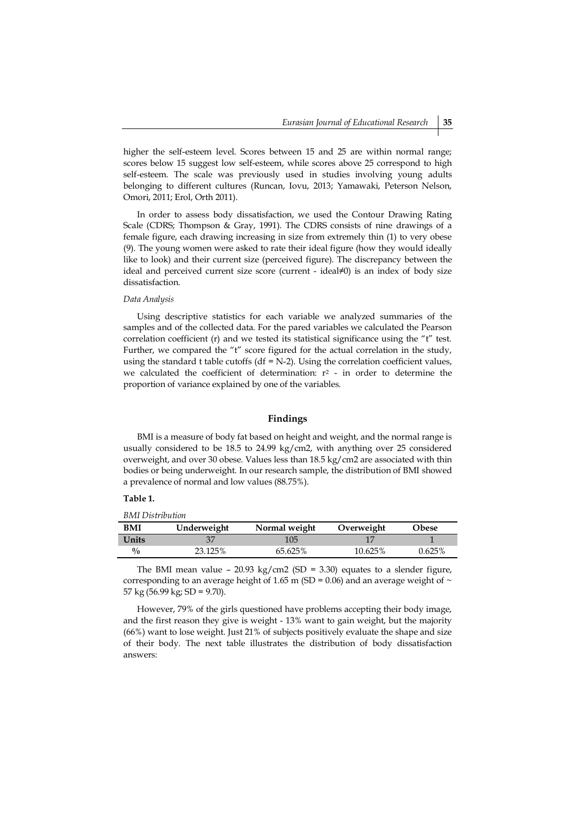higher the self-esteem level. Scores between 15 and 25 are within normal range; scores below 15 suggest low self-esteem, while scores above 25 correspond to high self-esteem. The scale was previously used in studies involving young adults belonging to different cultures (Runcan, Iovu, 2013; Yamawaki, Peterson Nelson, Omori, 2011; Erol, Orth 2011).

In order to assess body dissatisfaction, we used the Contour Drawing Rating Scale (CDRS; Thompson & Gray, 1991). The CDRS consists of nine drawings of a female figure, each drawing increasing in size from extremely thin (1) to very obese (9). The young women were asked to rate their ideal figure (how they would ideally like to look) and their current size (perceived figure). The discrepancy between the ideal and perceived current size score (current - ideal≠0) is an index of body size dissatisfaction.

#### *Data Analysis*

Using descriptive statistics for each variable we analyzed summaries of the samples and of the collected data. For the pared variables we calculated the Pearson correlation coefficient (r) and we tested its statistical significance using the "t" test. Further, we compared the "t" score figured for the actual correlation in the study, using the standard t table cutoffs (df =  $N-2$ ). Using the correlation coefficient values, we calculated the coefficient of determination:  $r^2$  - in order to determine the proportion of variance explained by one of the variables.

### **Findings**

BMI is a measure of body fat based on height and weight, and the normal range is usually considered to be 18.5 to 24.99 kg/cm2, with anything over 25 considered overweight, and over 30 obese. Values less than 18.5 kg/cm2 are associated with thin bodies or being underweight. In our research sample, the distribution of BMI showed a prevalence of normal and low values (88.75%).

### **Table 1.**

*BMI Distribution*

| DIVII DISTRUTTURI |             |               |            |           |
|-------------------|-------------|---------------|------------|-----------|
| BMI               | Underweight | Normal weight | Overweight | Obese     |
| Units             | 37          | 105           |            |           |
| $^{0}/_{0}$       | 23.125%     | 65.625%       | 10.625%    | $0.625\%$ |

The BMI mean value - 20.93 kg/cm2 (SD = 3.30) equates to a slender figure, corresponding to an average height of 1.65 m (SD = 0.06) and an average weight of  $\sim$ 57 kg (56.99 kg; SD = 9.70).

However, 79% of the girls questioned have problems accepting their body image, and the first reason they give is weight - 13% want to gain weight, but the majority (66%) want to lose weight. Just 21% of subjects positively evaluate the shape and size of their body. The next table illustrates the distribution of body dissatisfaction answers: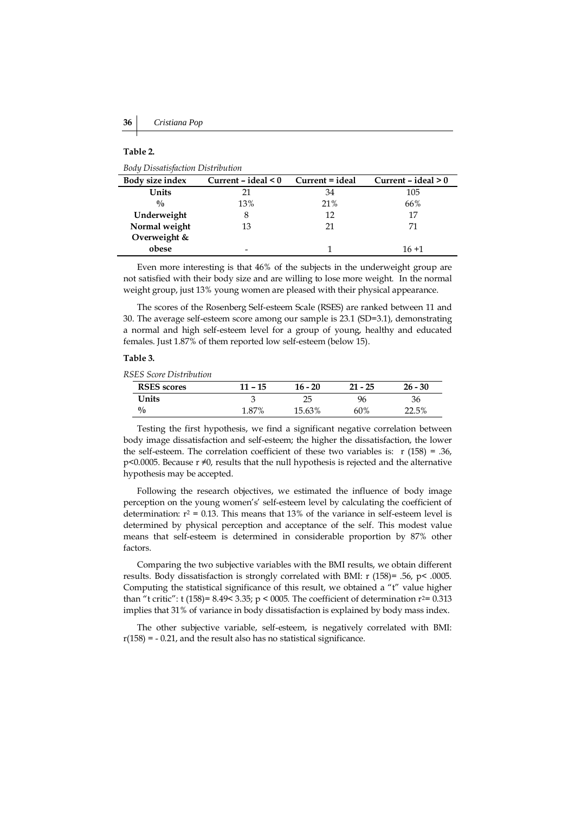# **Table 2.**

*Body Dissatisfaction Distribution*

| Body size index | Current $-$ ideal $< 0$ | Current = ideal | Current $-$ ideal $> 0$ |  |
|-----------------|-------------------------|-----------------|-------------------------|--|
| Units           | 21                      | 34              | 105                     |  |
| $\frac{0}{0}$   | 13%                     | 21%             | 66%                     |  |
| Underweight     | 8                       | 12              | 17                      |  |
| Normal weight   | 13                      | 21              | 71                      |  |
| Overweight &    |                         |                 |                         |  |
| obese           |                         |                 | $16 + 1$                |  |

Even more interesting is that 46% of the subjects in the underweight group are not satisfied with their body size and are willing to lose more weight. In the normal weight group, just 13% young women are pleased with their physical appearance.

The scores of the Rosenberg Self-esteem Scale (RSES) are ranked between 11 and 30. The average self-esteem score among our sample is 23.1 (SD=3.1), demonstrating a normal and high self-esteem level for a group of young, healthy and educated females. Just 1.87% of them reported low self-esteem (below 15).

# **Table 3.**

*RSES Score Distribution*

| <b>RSES</b> scores | $11 - 15$ | $16 - 20$ | $21 - 25$ | $26 - 30$ |
|--------------------|-----------|-----------|-----------|-----------|
| Units              |           | 25        | 96        | 36        |
| $\frac{0}{0}$      | 1.87%     | 15.63%    | 60%       | 22.5%     |

Testing the first hypothesis, we find a significant negative correlation between body image dissatisfaction and self-esteem; the higher the dissatisfaction, the lower the self-esteem. The correlation coefficient of these two variables is:  $r(158) = .36$ , p<0.0005. Because r ≠0, results that the null hypothesis is rejected and the alternative hypothesis may be accepted.

Following the research objectives, we estimated the influence of body image perception on the young women's' self-esteem level by calculating the coefficient of determination:  $r^2 = 0.13$ . This means that 13% of the variance in self-esteem level is determined by physical perception and acceptance of the self. This modest value means that self-esteem is determined in considerable proportion by 87% other factors.

Comparing the two subjective variables with the BMI results, we obtain different results. Body dissatisfaction is strongly correlated with BMI: r (158)= .56, p< .0005. Computing the statistical significance of this result, we obtained a "t" value higher than "t critic": t (158)= 8.49< 3.35; p < 0005. The coefficient of determination  $r^2$ = 0.313 implies that 31% of variance in body dissatisfaction is explained by body mass index.

The other subjective variable, self-esteem, is negatively correlated with BMI:  $r(158) = -0.21$ , and the result also has no statistical significance.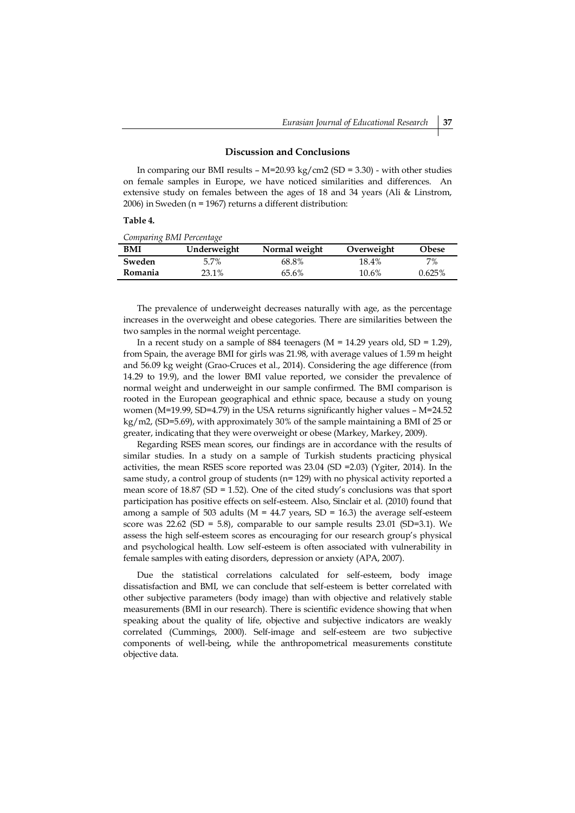### **Discussion and Conclusions**

In comparing our BMI results –  $M=20.93$  kg/cm2 (SD = 3.30) - with other studies on female samples in Europe, we have noticed similarities and differences. An extensive study on females between the ages of 18 and 34 years (Ali & Linstrom, 2006) in Sweden (n = 1967) returns a different distribution:

### **Table 4.**

|  | Comparing BMI Percentage |
|--|--------------------------|
|  |                          |

| BMI     | Underweight | Normal weight | Overweight | Obese  |
|---------|-------------|---------------|------------|--------|
| Sweden  | 5.7%        | 68.8%         | 18.4%      | 7%     |
| Romania | 23.1%       | 65.6%         | 10.6%      | 0.625% |

The prevalence of underweight decreases naturally with age, as the percentage increases in the overweight and obese categories. There are similarities between the two samples in the normal weight percentage.

In a recent study on a sample of 884 teenagers ( $M = 14.29$  years old,  $SD = 1.29$ ), from Spain, the average BMI for girls was 21.98, with average values of 1.59 m height and 56.09 kg weight (Grao-Cruces et al., 2014). Considering the age difference (from 14.29 to 19.9), and the lower BMI value reported, we consider the prevalence of normal weight and underweight in our sample confirmed. The BMI comparison is rooted in the European geographical and ethnic space, because a study on young women (M=19.99, SD=4.79) in the USA returns significantly higher values – M=24.52 kg/m2, (SD=5.69), with approximately 30% of the sample maintaining a BMI of 25 or greater, indicating that they were overweight or obese (Markey, Markey, 2009).

Regarding RSES mean scores, our findings are in accordance with the results of similar studies. In a study on a sample of Turkish students practicing physical activities, the mean RSES score reported was 23.04 (SD =2.03) (Ygiter, 2014). In the same study, a control group of students (n= 129) with no physical activity reported a mean score of  $18.87$  (SD = 1.52). One of the cited study's conclusions was that sport participation has positive effects on self-esteem. Also, Sinclair et al. (2010) found that among a sample of 503 adults ( $M = 44.7$  years,  $SD = 16.3$ ) the average self-esteem score was  $22.62$  (SD = 5.8), comparable to our sample results  $23.01$  (SD=3.1). We assess the high self-esteem scores as encouraging for our research group's physical and psychological health. Low self-esteem is often associated with vulnerability in female samples with eating disorders, depression or anxiety (APA, 2007).

Due the statistical correlations calculated for self-esteem, body image dissatisfaction and BMI, we can conclude that self-esteem is better correlated with other subjective parameters (body image) than with objective and relatively stable measurements (BMI in our research). There is scientific evidence showing that when speaking about the quality of life, objective and subjective indicators are weakly correlated (Cummings, 2000). Self-image and self-esteem are two subjective components of well-being, while the anthropometrical measurements constitute objective data.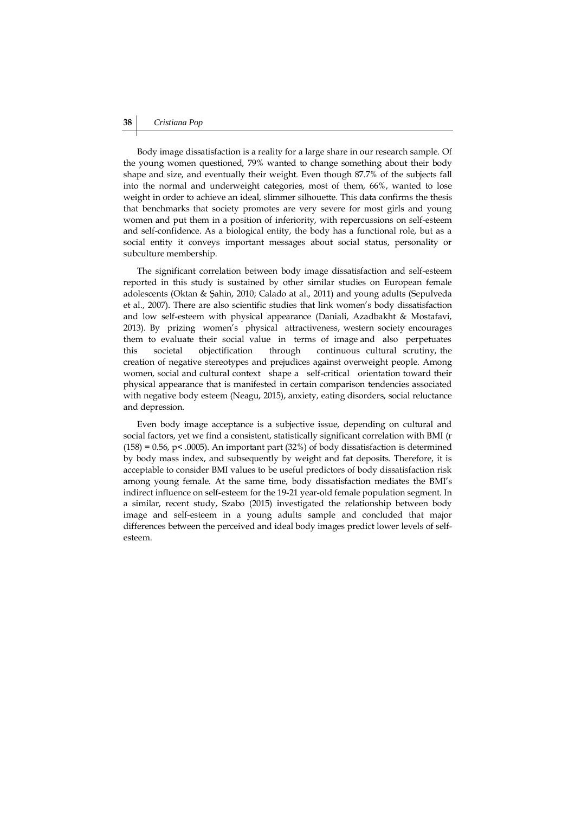# **38** *Cristiana Pop*

Body image dissatisfaction is a reality for a large share in our research sample. Of the young women questioned, 79% wanted to change something about their body shape and size, and eventually their weight. Even though 87.7% of the subjects fall into the normal and underweight categories, most of them, 66%, wanted to lose weight in order to achieve an ideal, slimmer silhouette. This data confirms the thesis that benchmarks that society promotes are very severe for most girls and young women and put them in a position of inferiority, with repercussions on self-esteem and self-confidence. As a biological entity, the body has a functional role, but as a social entity it conveys important messages about social status, personality or subculture membership.

The significant correlation between body image dissatisfaction and self-esteem reported in this study is sustained by other similar studies on European female adolescents (Oktan & Şahin, 2010; Calado at al., 2011) and young adults (Sepulveda et al., 2007). There are also scientific studies that link women's body dissatisfaction and low self-esteem with physical appearance (Daniali, Azadbakht & Mostafavi, 2013). By prizing women's physical attractiveness, western society encourages them to evaluate their social value in terms of image and also perpetuates this societal objectification through continuous cultural scrutiny, the creation of negative stereotypes and prejudices against overweight people. Among women, social and cultural context shape a self-critical orientation toward their physical appearance that is manifested in certain comparison tendencies associated with negative body esteem (Neagu, 2015), anxiety, eating disorders, social reluctance and depression.

Even body image acceptance is a subjective issue, depending on cultural and social factors, yet we find a consistent, statistically significant correlation with BMI (r  $(158) = 0.56$ , p< .0005). An important part  $(32%)$  of body dissatisfaction is determined by body mass index, and subsequently by weight and fat deposits. Therefore, it is acceptable to consider BMI values to be useful predictors of body dissatisfaction risk among young female. At the same time, body dissatisfaction mediates the BMI's indirect influence on self-esteem for the 19-21 year-old female population segment. In a similar, recent study, Szabo (2015) investigated the relationship between body image and self-esteem in a young adults sample and concluded that major differences between the perceived and ideal body images predict lower levels of selfesteem.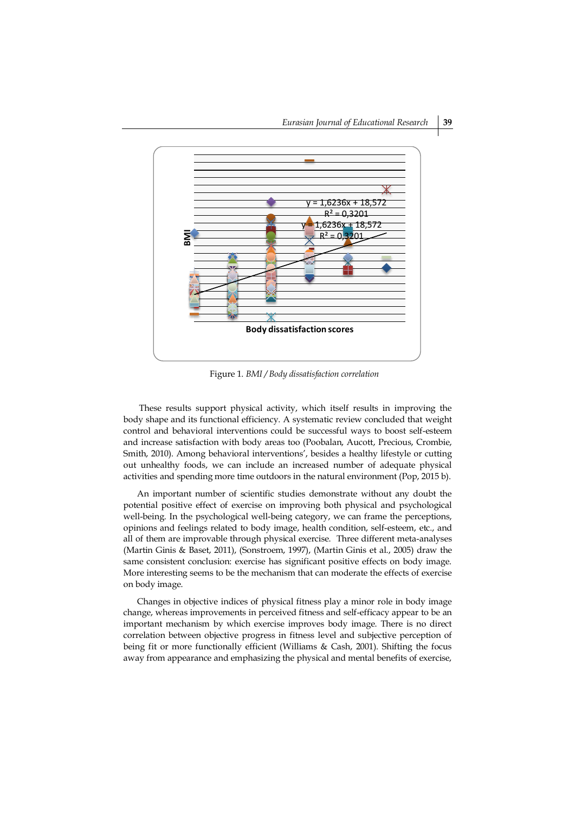

Figure 1. *BMI / Body dissatisfaction correlation*

These results support physical activity, which itself results in improving the body shape and its functional efficiency. A systematic review concluded that weight control and behavioral interventions could be successful ways to boost self-esteem and increase satisfaction with body areas too (Poobalan, Aucott, Precious, Crombie, Smith, 2010). Among behavioral interventions', besides a healthy lifestyle or cutting out unhealthy foods, we can include an increased number of adequate physical activities and spending more time outdoors in the natural environment (Pop, 2015 b).

An important number of scientific studies demonstrate without any doubt the potential positive effect of exercise on improving both physical and psychological well-being. In the psychological well-being category, we can frame the perceptions, opinions and feelings related to body image, health condition, self-esteem, etc., and all of them are improvable through physical exercise. Three different meta-analyses (Martin Ginis & Baset, 2011), (Sonstroem, 1997), (Martin Ginis et al., 2005) draw the same consistent conclusion: exercise has significant positive effects on body image. More interesting seems to be the mechanism that can moderate the effects of exercise on body image.

Changes in objective indices of physical fitness play a minor role in body image change, whereas improvements in perceived fitness and self-efficacy appear to be an important mechanism by which exercise improves body image. There is no direct correlation between objective progress in fitness level and subjective perception of being fit or more functionally efficient (Williams & Cash, 2001). Shifting the focus away from appearance and emphasizing the physical and mental benefits of exercise,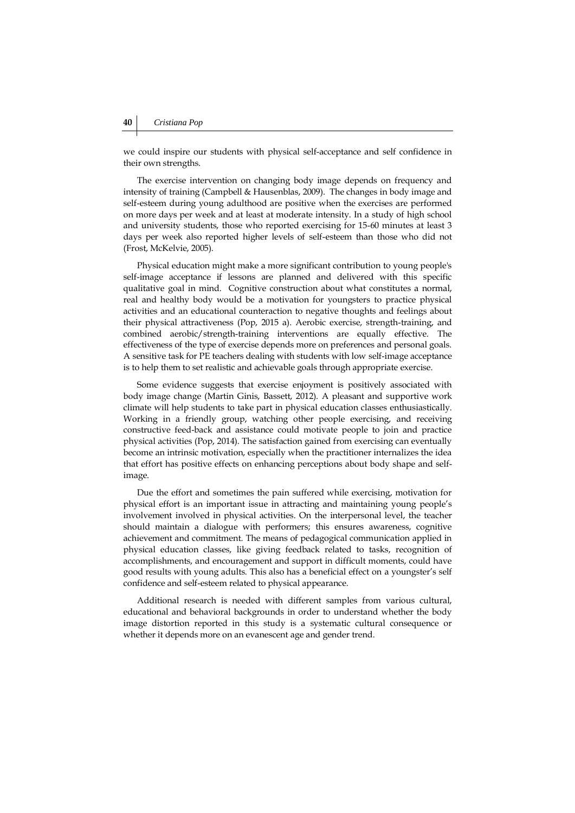we could inspire our students with physical self-acceptance and self confidence in their own strengths.

The exercise intervention on changing body image depends on frequency and intensity of training (Campbell & Hausenblas, 2009). The changes in body image and self-esteem during young adulthood are positive when the exercises are performed on more days per week and at least at moderate intensity. In a study of high school and university students, those who reported exercising for 15-60 minutes at least 3 days per week also reported higher levels of self-esteem than those who did not (Frost, McKelvie, 2005).

Physical education might make a more significant contribution to young people's self-image acceptance if lessons are planned and delivered with this specific qualitative goal in mind. Cognitive construction about what constitutes a normal, real and healthy body would be a motivation for youngsters to practice physical activities and an educational counteraction to negative thoughts and feelings about their physical attractiveness (Pop, 2015 a). Aerobic exercise, strength-training, and combined aerobic/strength-training interventions are equally effective. The effectiveness of the type of exercise depends more on preferences and personal goals. A sensitive task for PE teachers dealing with students with low self-image acceptance is to help them to set realistic and achievable goals through appropriate exercise.

Some evidence suggests that exercise enjoyment is positively associated with body image change (Martin Ginis, Bassett, 2012). A pleasant and supportive work climate will help students to take part in physical education classes enthusiastically. Working in a friendly group, watching other people exercising, and receiving constructive feed-back and assistance could motivate people to join and practice physical activities (Pop, 2014). The satisfaction gained from exercising can eventually become an intrinsic motivation, especially when the practitioner internalizes the idea that effort has positive effects on enhancing perceptions about body shape and selfimage.

Due the effort and sometimes the pain suffered while exercising, motivation for physical effort is an important issue in attracting and maintaining young people's involvement involved in physical activities. On the interpersonal level, the teacher should maintain a dialogue with performers; this ensures awareness, cognitive achievement and commitment. The means of pedagogical communication applied in physical education classes, like giving feedback related to tasks, recognition of accomplishments, and encouragement and support in difficult moments, could have good results with young adults. This also has a beneficial effect on a youngster's self confidence and self-esteem related to physical appearance.

Additional research is needed with different samples from various cultural, educational and behavioral backgrounds in order to understand whether the body image distortion reported in this study is a systematic cultural consequence or whether it depends more on an evanescent age and gender trend.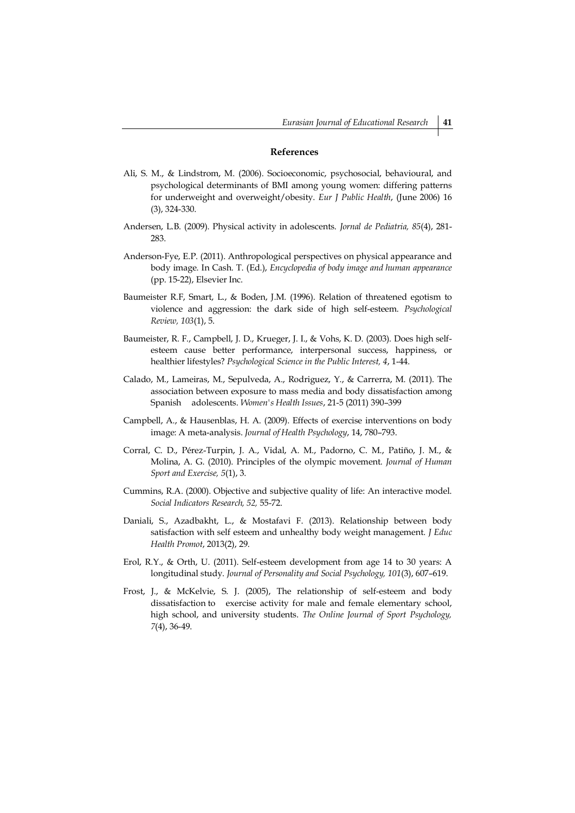### **References**

- Ali, S. M., & Lindstrom, M. (2006). Socioeconomic, psychosocial, behavioural, and psychological determinants of BMI among young women: differing patterns for underweight and overweight/obesity. *Eur J Public Health*, (June 2006) 16 (3), 324-330.
- Andersen, L.B. (2009). Physical activity in adolescents. *Jornal de Pediatria, 85*(4), 281- 283.
- Anderson-Fye, E.P. (2011). Anthropological perspectives on physical appearance and body image. In Cash. T. (Ed.), *Encyclopedia of body image and human appearance* (pp. 15-22), Elsevier Inc.
- Baumeister R.F, Smart, L., & Boden, J.M. (1996). Relation of threatened egotism to violence and aggression: the dark side of high self-esteem. *Psychological Review, 103*(1), 5.
- Baumeister, R. F., Campbell, J. D., Krueger, J. I., & Vohs, K. D. (2003). Does high selfesteem cause better performance, interpersonal success, happiness, or healthier lifestyles? *Psychological Science in the Public Interest, 4*, 1-44.
- Calado, M., Lameiras, M., Sepulveda, A., Rodriguez, Y., & Carrerra, M. (2011). The association between exposure to mass media and body dissatisfaction among Spanish adolescents. *Women's Health Issues*, 21-5 (2011) 390–399
- Campbell, A., & Hausenblas, H. A. (2009). Effects of exercise interventions on body image: A meta-analysis. *Journal of Health Psychology*, 14, 780–793.
- Corral, C. D., Pérez-Turpin, J. A., Vidal, A. M., Padorno, C. M., Patiño, J. M., & Molina, A. G. (2010). Principles of the olympic movement. *Journal of Human Sport and Exercise, 5*(1), 3.
- Cummins, R.A. (2000). Objective and subjective quality of life: An interactive model. *Social Indicators Research, 52,* 55-72.
- Daniali, S., Azadbakht, L., & Mostafavi F. (2013). Relationship between body satisfaction with self esteem and unhealthy body weight management. *J Educ Health Promot*, 2013(2), 29.
- Erol, R.Y., & Orth, U. (2011). Self-esteem development from age 14 to 30 years: A longitudinal study. *Journal of Personality and Social Psychology, 101*(3), 607–619.
- Frost, J., & McKelvie, S. J. (2005), The relationship of self-esteem and body dissatisfaction to exercise activity for male and female elementary school, high school, and university students. *The Online Journal of Sport Psychology, 7*(4), 36-49.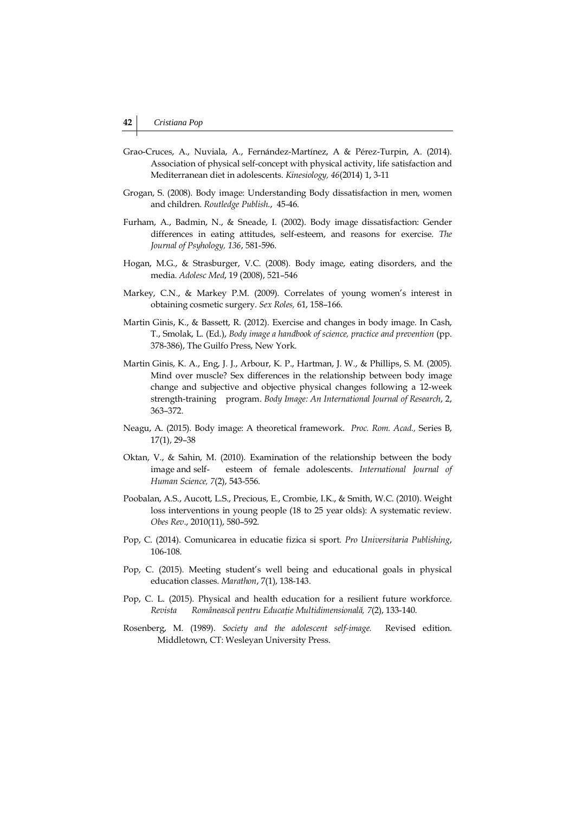- Grao-Cruces, A., Nuviala, A., Fernández-Martínez, A & Pérez-Turpin, A. (2014). Association of physical self-concept with physical activity, life satisfaction and Mediterranean diet in adolescents. *Kinesiology, 46*(2014) 1, 3-11
- Grogan, S. (2008). Body image: Understanding Body dissatisfaction in men, women and children. *Routledge Publish*., 45-46.
- Furham, A., Badmin, N., & Sneade, I. (2002). Body image dissatisfaction: Gender differences in eating attitudes, self-esteem, and reasons for exercise. *The Journal of Psyhology, 136*, 581-596.
- Hogan, M.G., & Strasburger, V.C. (2008). Body image, eating disorders, and the media. *Adolesc Med*, 19 (2008), 521–546
- Markey, C.N., & Markey P.M. (2009). Correlates of young women's interest in obtaining cosmetic surgery. *Sex Roles,* 61, 158–166.
- Martin Ginis, K., & Bassett, R. (2012). Exercise and changes in body image. In Cash, T., Smolak, L. (Ed.), *Body image a handbook of science, practice and prevention* (pp. 378-386), The Guilfo Press, New York.
- Martin Ginis, K. A., Eng, J. J., Arbour, K. P., Hartman, J. W., & Phillips, S. M. (2005). Mind over muscle? Sex differences in the relationship between body image change and subjective and objective physical changes following a 12-week strength-training program. *Body Image: An International Journal of Research*, 2, 363–372.
- Neagu, A. (2015). Body image: A theoretical framework. *Proc. Rom. Acad.,* Series B, 17(1), 29–38
- Oktan, V., & Sahin, M. (2010). Examination of the relationship between the body image and self- esteem of female adolescents. *International Journal of Human Science, 7*(2), 543-556.
- Poobalan, A.S., Aucott, L.S., Precious, E., Crombie, I.K., & Smith, W.C. (2010). Weight loss interventions in young people (18 to 25 year olds): A systematic review. *Obes Rev*., 2010(11), 580–592.
- Pop, C. (2014). Comunicarea in educatie fizica si sport. *Pro Universitaria Publishing*, 106-108.
- Pop, C. (2015). Meeting student's well being and educational goals in physical education classes. *Marathon*, 7(1), 138-143.
- Pop, C. L. (2015). Physical and health education for a resilient future workforce. *Revista Românească pentru Educaţie Multidimensională, 7*(2), 133-140.
- Rosenberg, M. (1989). *Society and the adolescent self-image.* Revised edition. Middletown, CT: Wesleyan University Press.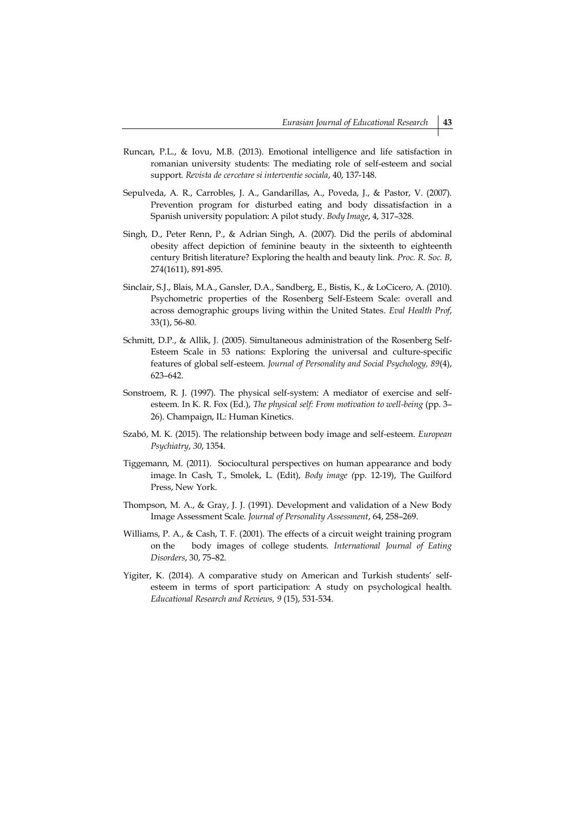- Runcan, P.L., & Iovu, M.B. (2013). Emotional intelligence and life satisfaction in romanian university students: The mediating role of self-esteem and social support. *Revista de cercetare si interventie sociala*, 40, 137-148.
- Sepulveda, A. R., Carrobles, J. A., Gandarillas, A., Poveda, J., & Pastor, V. (2007). Prevention program for disturbed eating and body dissatisfaction in a Spanish university population: A pilot study. *Body Image*, 4, 317–328.
- Singh, D., Peter Renn, P., & Adrian Singh, A. (2007). Did the perils of abdominal obesity affect depiction of feminine beauty in the sixteenth to eighteenth century British literature? Exploring the health and beauty link. *Proc. R. Soc. B*, 274(1611), 891-895.
- Sinclair, S.J., Blais, M.A., Gansler, D.A., Sandberg, E., Bistis, K., & LoCicero, A. (2010). Psychometric properties of the Rosenberg Self-Esteem Scale: overall and across demographic groups living within the United States. *Eval Health Prof*, 33(1), 56-80.
- Schmitt, D.P., & Allik, J. (2005). Simultaneous administration of the Rosenberg Self-Esteem Scale in 53 nations: Exploring the universal and culture-specific features of global self-esteem. *Journal of Personality and Social Psychology, 89*(4), 623–642.
- Sonstroem, R. J. (1997). The physical self-system: A mediator of exercise and selfesteem. In K. R. Fox (Ed.), *The physical self: From motivation to well-being* (pp. 3– 26). Champaign, IL: Human Kinetics.
- Szabó, M. K. (2015). The relationship between body image and self-esteem. *European Psychiatry*, *30*, 1354.
- Tiggemann, M. (2011). Sociocultural perspectives on human appearance and body image. In Cash, T., Smolek, L. (Edit), *Body image (*pp. 12-19), The Guilford Press, New York.
- Thompson, M. A., & Gray, J. J. (1991). Development and validation of a New Body Image Assessment Scale. *Journal of Personality Assessment*, 64, 258–269.
- Williams, P. A., & Cash, T. F. (2001). The effects of a circuit weight training program on the body images of college students*. International Journal of Eating Disorders*, 30, 75–82.
- Yigiter, K. (2014). A comparative study on American and Turkish students' selfesteem in terms of sport participation: A study on psychological health. *Educational Research and Reviews, 9* (15), 531-534.